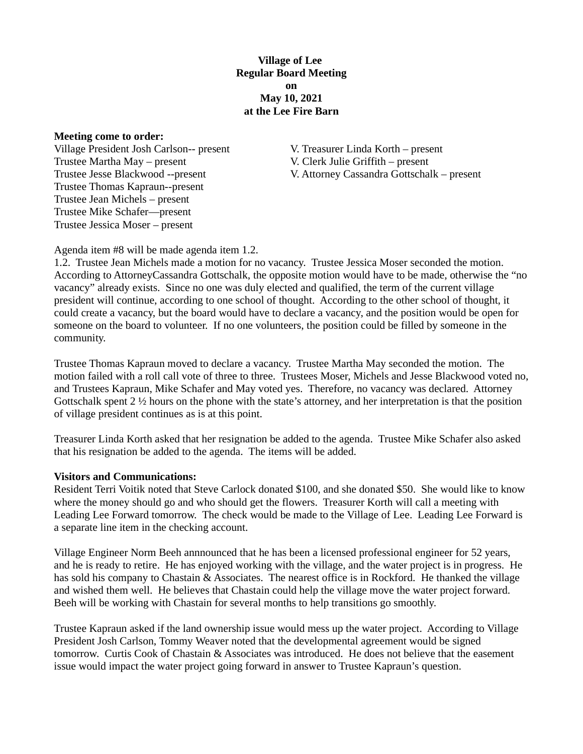**Village of Lee Regular Board Meeting on May 10, 2021 at the Lee Fire Barn**

**Meeting come to order:**

Village President Josh Carlson-- present V. Treasurer Linda Korth – present Trustee Martha May – present V. Clerk Julie Griffith – present Trustee Thomas Kapraun--present Trustee Jean Michels – present Trustee Mike Schafer—present Trustee Jessica Moser – present

Trustee Jesse Blackwood --present V. Attorney Cassandra Gottschalk – present

Agenda item #8 will be made agenda item 1.2.

1.2. Trustee Jean Michels made a motion for no vacancy. Trustee Jessica Moser seconded the motion. According to AttorneyCassandra Gottschalk, the opposite motion would have to be made, otherwise the "no vacancy" already exists. Since no one was duly elected and qualified, the term of the current village president will continue, according to one school of thought. According to the other school of thought, it could create a vacancy, but the board would have to declare a vacancy, and the position would be open for someone on the board to volunteer. If no one volunteers, the position could be filled by someone in the community.

Trustee Thomas Kapraun moved to declare a vacancy. Trustee Martha May seconded the motion. The motion failed with a roll call vote of three to three. Trustees Moser, Michels and Jesse Blackwood voted no, and Trustees Kapraun, Mike Schafer and May voted yes. Therefore, no vacancy was declared. Attorney Gottschalk spent 2 ½ hours on the phone with the state's attorney, and her interpretation is that the position of village president continues as is at this point.

Treasurer Linda Korth asked that her resignation be added to the agenda. Trustee Mike Schafer also asked that his resignation be added to the agenda. The items will be added.

### **Visitors and Communications:**

Resident Terri Voitik noted that Steve Carlock donated \$100, and she donated \$50. She would like to know where the money should go and who should get the flowers. Treasurer Korth will call a meeting with Leading Lee Forward tomorrow. The check would be made to the Village of Lee. Leading Lee Forward is a separate line item in the checking account.

Village Engineer Norm Beeh annnounced that he has been a licensed professional engineer for 52 years, and he is ready to retire. He has enjoyed working with the village, and the water project is in progress. He has sold his company to Chastain & Associates. The nearest office is in Rockford. He thanked the village and wished them well. He believes that Chastain could help the village move the water project forward. Beeh will be working with Chastain for several months to help transitions go smoothly.

Trustee Kapraun asked if the land ownership issue would mess up the water project. According to Village President Josh Carlson, Tommy Weaver noted that the developmental agreement would be signed tomorrow. Curtis Cook of Chastain & Associates was introduced. He does not believe that the easement issue would impact the water project going forward in answer to Trustee Kapraun's question.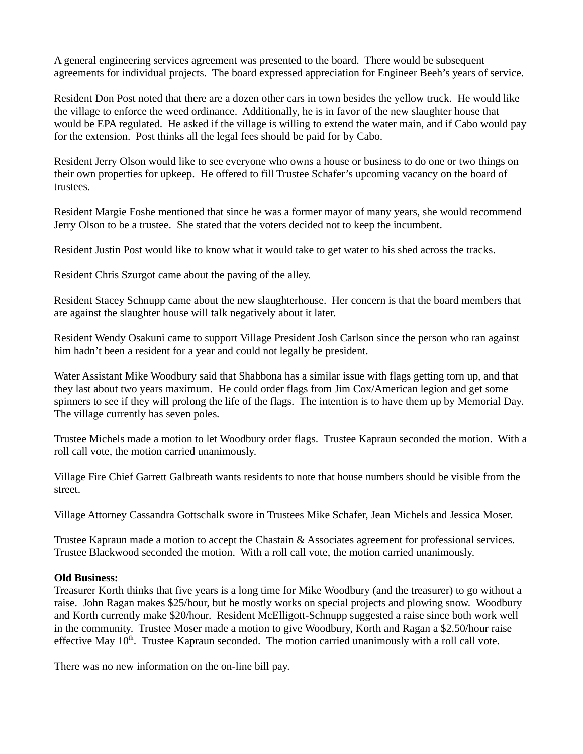A general engineering services agreement was presented to the board. There would be subsequent agreements for individual projects. The board expressed appreciation for Engineer Beeh's years of service.

Resident Don Post noted that there are a dozen other cars in town besides the yellow truck. He would like the village to enforce the weed ordinance. Additionally, he is in favor of the new slaughter house that would be EPA regulated. He asked if the village is willing to extend the water main, and if Cabo would pay for the extension. Post thinks all the legal fees should be paid for by Cabo.

Resident Jerry Olson would like to see everyone who owns a house or business to do one or two things on their own properties for upkeep. He offered to fill Trustee Schafer's upcoming vacancy on the board of trustees.

Resident Margie Foshe mentioned that since he was a former mayor of many years, she would recommend Jerry Olson to be a trustee. She stated that the voters decided not to keep the incumbent.

Resident Justin Post would like to know what it would take to get water to his shed across the tracks.

Resident Chris Szurgot came about the paving of the alley.

Resident Stacey Schnupp came about the new slaughterhouse. Her concern is that the board members that are against the slaughter house will talk negatively about it later.

Resident Wendy Osakuni came to support Village President Josh Carlson since the person who ran against him hadn't been a resident for a year and could not legally be president.

Water Assistant Mike Woodbury said that Shabbona has a similar issue with flags getting torn up, and that they last about two years maximum. He could order flags from Jim Cox/American legion and get some spinners to see if they will prolong the life of the flags. The intention is to have them up by Memorial Day. The village currently has seven poles.

Trustee Michels made a motion to let Woodbury order flags. Trustee Kapraun seconded the motion. With a roll call vote, the motion carried unanimously.

Village Fire Chief Garrett Galbreath wants residents to note that house numbers should be visible from the street.

Village Attorney Cassandra Gottschalk swore in Trustees Mike Schafer, Jean Michels and Jessica Moser.

Trustee Kapraun made a motion to accept the Chastain & Associates agreement for professional services. Trustee Blackwood seconded the motion. With a roll call vote, the motion carried unanimously.

### **Old Business:**

Treasurer Korth thinks that five years is a long time for Mike Woodbury (and the treasurer) to go without a raise. John Ragan makes \$25/hour, but he mostly works on special projects and plowing snow. Woodbury and Korth currently make \$20/hour. Resident McElligott-Schnupp suggested a raise since both work well in the community. Trustee Moser made a motion to give Woodbury, Korth and Ragan a \$2.50/hour raise effective May  $10<sup>th</sup>$ . Trustee Kapraun seconded. The motion carried unanimously with a roll call vote.

There was no new information on the on-line bill pay.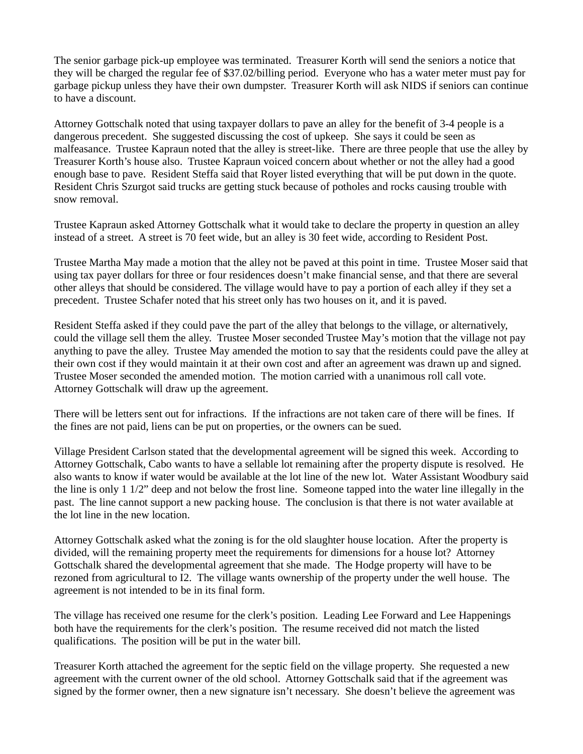The senior garbage pick-up employee was terminated. Treasurer Korth will send the seniors a notice that they will be charged the regular fee of \$37.02/billing period. Everyone who has a water meter must pay for garbage pickup unless they have their own dumpster. Treasurer Korth will ask NIDS if seniors can continue to have a discount.

Attorney Gottschalk noted that using taxpayer dollars to pave an alley for the benefit of 3-4 people is a dangerous precedent. She suggested discussing the cost of upkeep. She says it could be seen as malfeasance. Trustee Kapraun noted that the alley is street-like. There are three people that use the alley by Treasurer Korth's house also. Trustee Kapraun voiced concern about whether or not the alley had a good enough base to pave. Resident Steffa said that Royer listed everything that will be put down in the quote. Resident Chris Szurgot said trucks are getting stuck because of potholes and rocks causing trouble with snow removal.

Trustee Kapraun asked Attorney Gottschalk what it would take to declare the property in question an alley instead of a street. A street is 70 feet wide, but an alley is 30 feet wide, according to Resident Post.

Trustee Martha May made a motion that the alley not be paved at this point in time. Trustee Moser said that using tax payer dollars for three or four residences doesn't make financial sense, and that there are several other alleys that should be considered. The village would have to pay a portion of each alley if they set a precedent. Trustee Schafer noted that his street only has two houses on it, and it is paved.

Resident Steffa asked if they could pave the part of the alley that belongs to the village, or alternatively, could the village sell them the alley. Trustee Moser seconded Trustee May's motion that the village not pay anything to pave the alley. Trustee May amended the motion to say that the residents could pave the alley at their own cost if they would maintain it at their own cost and after an agreement was drawn up and signed. Trustee Moser seconded the amended motion. The motion carried with a unanimous roll call vote. Attorney Gottschalk will draw up the agreement.

There will be letters sent out for infractions. If the infractions are not taken care of there will be fines. If the fines are not paid, liens can be put on properties, or the owners can be sued.

Village President Carlson stated that the developmental agreement will be signed this week. According to Attorney Gottschalk, Cabo wants to have a sellable lot remaining after the property dispute is resolved. He also wants to know if water would be available at the lot line of the new lot. Water Assistant Woodbury said the line is only 1 1/2" deep and not below the frost line. Someone tapped into the water line illegally in the past. The line cannot support a new packing house. The conclusion is that there is not water available at the lot line in the new location.

Attorney Gottschalk asked what the zoning is for the old slaughter house location. After the property is divided, will the remaining property meet the requirements for dimensions for a house lot? Attorney Gottschalk shared the developmental agreement that she made. The Hodge property will have to be rezoned from agricultural to I2. The village wants ownership of the property under the well house. The agreement is not intended to be in its final form.

The village has received one resume for the clerk's position. Leading Lee Forward and Lee Happenings both have the requirements for the clerk's position. The resume received did not match the listed qualifications. The position will be put in the water bill.

Treasurer Korth attached the agreement for the septic field on the village property. She requested a new agreement with the current owner of the old school. Attorney Gottschalk said that if the agreement was signed by the former owner, then a new signature isn't necessary. She doesn't believe the agreement was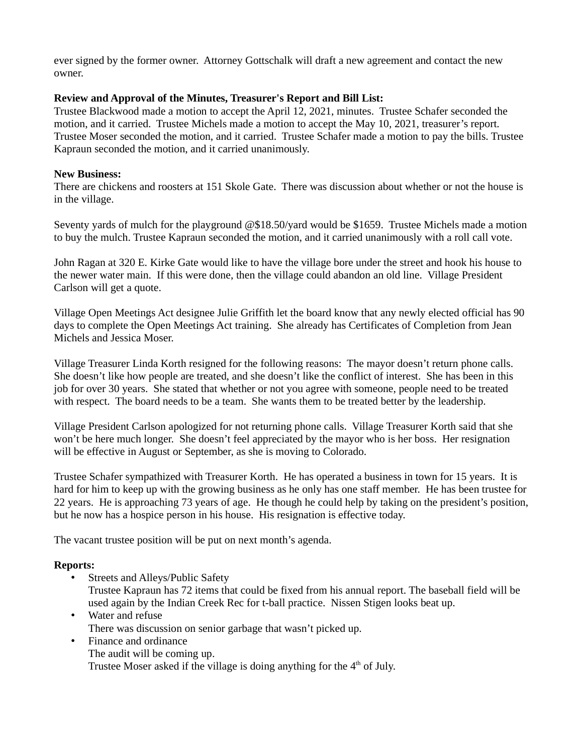ever signed by the former owner. Attorney Gottschalk will draft a new agreement and contact the new owner.

### **Review and Approval of the Minutes, Treasurer's Report and Bill List:**

Trustee Blackwood made a motion to accept the April 12, 2021, minutes. Trustee Schafer seconded the motion, and it carried. Trustee Michels made a motion to accept the May 10, 2021, treasurer's report. Trustee Moser seconded the motion, and it carried. Trustee Schafer made a motion to pay the bills. Trustee Kapraun seconded the motion, and it carried unanimously.

## **New Business:**

There are chickens and roosters at 151 Skole Gate. There was discussion about whether or not the house is in the village.

Seventy yards of mulch for the playground @\$18.50/yard would be \$1659. Trustee Michels made a motion to buy the mulch. Trustee Kapraun seconded the motion, and it carried unanimously with a roll call vote.

John Ragan at 320 E. Kirke Gate would like to have the village bore under the street and hook his house to the newer water main. If this were done, then the village could abandon an old line. Village President Carlson will get a quote.

Village Open Meetings Act designee Julie Griffith let the board know that any newly elected official has 90 days to complete the Open Meetings Act training. She already has Certificates of Completion from Jean Michels and Jessica Moser.

Village Treasurer Linda Korth resigned for the following reasons: The mayor doesn't return phone calls. She doesn't like how people are treated, and she doesn't like the conflict of interest. She has been in this job for over 30 years. She stated that whether or not you agree with someone, people need to be treated with respect. The board needs to be a team. She wants them to be treated better by the leadership.

Village President Carlson apologized for not returning phone calls. Village Treasurer Korth said that she won't be here much longer. She doesn't feel appreciated by the mayor who is her boss. Her resignation will be effective in August or September, as she is moving to Colorado.

Trustee Schafer sympathized with Treasurer Korth. He has operated a business in town for 15 years. It is hard for him to keep up with the growing business as he only has one staff member. He has been trustee for 22 years. He is approaching 73 years of age. He though he could help by taking on the president's position, but he now has a hospice person in his house. His resignation is effective today.

The vacant trustee position will be put on next month's agenda.

## **Reports:**

• Streets and Alleys/Public Safety

Trustee Kapraun has 72 items that could be fixed from his annual report. The baseball field will be used again by the Indian Creek Rec for t-ball practice. Nissen Stigen looks beat up.

- Water and refuse There was discussion on senior garbage that wasn't picked up.
- Finance and ordinance The audit will be coming up.

Trustee Moser asked if the village is doing anything for the  $4<sup>th</sup>$  of July.